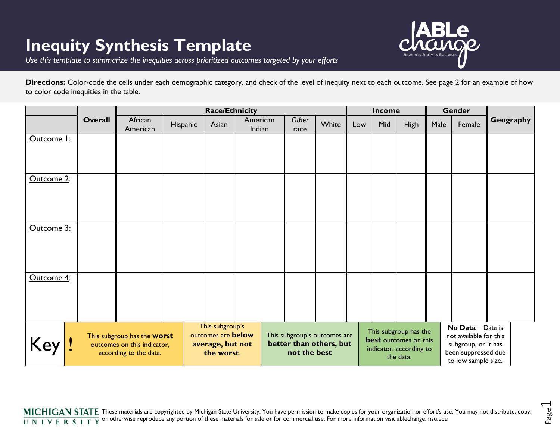## **Inequity Synthesis Template**



Page  $\overline{\phantom{0}}$ 

*Use this template to summarize the inequities across prioritized outcomes targeted by your efforts*

| Directions: Color-code the cells under each demographic category, and check of the level of inequity next to each outcome. See page 2 for an example of how |  |
|-------------------------------------------------------------------------------------------------------------------------------------------------------------|--|
| to color code inequities in the table.                                                                                                                      |  |

|            |         |                                                            | Income   |                                                      |                    |  |                                                                         | <b>Gender</b> |     |                                                                      |     |             |      |                                               |           |  |
|------------|---------|------------------------------------------------------------|----------|------------------------------------------------------|--------------------|--|-------------------------------------------------------------------------|---------------|-----|----------------------------------------------------------------------|-----|-------------|------|-----------------------------------------------|-----------|--|
|            | Overall | African<br>American                                        | Hispanic | Asian                                                | American<br>Indian |  | Other<br>race                                                           | White         | Low |                                                                      | Mid | <b>High</b> | Male | Female                                        | Geography |  |
| Outcome 1: |         |                                                            |          |                                                      |                    |  |                                                                         |               |     |                                                                      |     |             |      |                                               |           |  |
|            |         |                                                            |          |                                                      |                    |  |                                                                         |               |     |                                                                      |     |             |      |                                               |           |  |
|            |         |                                                            |          |                                                      |                    |  |                                                                         |               |     |                                                                      |     |             |      |                                               |           |  |
| Outcome 2: |         |                                                            |          |                                                      |                    |  |                                                                         |               |     |                                                                      |     |             |      |                                               |           |  |
|            |         |                                                            |          |                                                      |                    |  |                                                                         |               |     |                                                                      |     |             |      |                                               |           |  |
|            |         |                                                            |          |                                                      |                    |  |                                                                         |               |     |                                                                      |     |             |      |                                               |           |  |
|            |         |                                                            |          |                                                      |                    |  |                                                                         |               |     |                                                                      |     |             |      |                                               |           |  |
| Outcome 3: |         |                                                            |          |                                                      |                    |  |                                                                         |               |     |                                                                      |     |             |      |                                               |           |  |
|            |         |                                                            |          |                                                      |                    |  |                                                                         |               |     |                                                                      |     |             |      |                                               |           |  |
|            |         |                                                            |          |                                                      |                    |  |                                                                         |               |     |                                                                      |     |             |      |                                               |           |  |
| Outcome 4: |         |                                                            |          |                                                      |                    |  |                                                                         |               |     |                                                                      |     |             |      |                                               |           |  |
|            |         |                                                            |          |                                                      |                    |  |                                                                         |               |     |                                                                      |     |             |      |                                               |           |  |
|            |         |                                                            |          |                                                      |                    |  |                                                                         |               |     |                                                                      |     |             |      |                                               |           |  |
|            |         |                                                            |          |                                                      |                    |  |                                                                         |               |     |                                                                      |     |             |      |                                               |           |  |
|            |         | This subgroup's                                            |          |                                                      |                    |  |                                                                         |               |     | This subgroup has the                                                |     |             |      | No Data - Data is                             |           |  |
| Key        |         | This subgroup has the worst<br>outcomes on this indicator, |          | outcomes are below<br>average, but not<br>the worst. |                    |  | This subgroup's outcomes are<br>better than others, but<br>not the best |               |     | <b>best</b> outcomes on this<br>indicator, according to<br>the data. |     |             |      | not available for this<br>subgroup, or it has |           |  |
|            |         | according to the data.                                     |          |                                                      |                    |  |                                                                         |               |     |                                                                      |     |             |      | been suppressed due                           |           |  |
|            |         |                                                            |          |                                                      |                    |  |                                                                         |               |     |                                                                      |     |             |      | to low sample size.                           |           |  |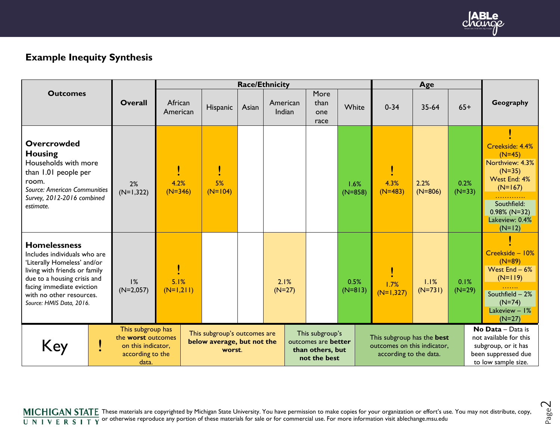

Page  $\sim$ 

## **Example Inequity Synthesis**

|                                                                                                                                                                                                                                         |                                                                                            | <b>Race/Ethnicity</b> |                                                                      |       |                                                                            |  |                             |                   |  |                                                                                     |                   |                  |  |                                                                                                                                                         |  |  |
|-----------------------------------------------------------------------------------------------------------------------------------------------------------------------------------------------------------------------------------------|--------------------------------------------------------------------------------------------|-----------------------|----------------------------------------------------------------------|-------|----------------------------------------------------------------------------|--|-----------------------------|-------------------|--|-------------------------------------------------------------------------------------|-------------------|------------------|--|---------------------------------------------------------------------------------------------------------------------------------------------------------|--|--|
| <b>Outcomes</b>                                                                                                                                                                                                                         | <b>Overall</b>                                                                             | African<br>American   | Hispanic                                                             | Asian | American<br>Indian                                                         |  | More<br>than<br>one<br>race | White             |  | $0 - 34$                                                                            | $35-64$           | $65+$            |  | Geography                                                                                                                                               |  |  |
| <b>Overcrowded</b><br><b>Housing</b><br>Households with more<br>than 1.01 people per<br>room.<br>Source: American Communities<br>Survey, 2012-2016 combined<br>estimate.                                                                | 2%<br>$(N=1,322)$                                                                          | 4.2%<br>$(N=346)$     | 5%<br>$(N=104)$                                                      |       |                                                                            |  |                             | 1.6%<br>$(N=858)$ |  | 4.3%<br>$(N=483)$                                                                   | 2.2%<br>$(N=806)$ | 0.2%<br>$(N=33)$ |  | Creekside: 4.4%<br>$(N=45)$<br>Northview: 4.3%<br>$(N=35)$<br>West End: 4%<br>$(N=167)$<br>Southfield:<br>$0.98\%$ (N=32)<br>Lakeview: 0.4%<br>$(N=12)$ |  |  |
| <b>Homelessness</b><br>Includes individuals who are<br>'Literally Homeless' and/or<br>living with friends or family<br>due to a housing crisis and<br>facing immediate eviction<br>with no other resources.<br>Source: HMIS Data, 2016. | 1%<br>$(N=2,057)$                                                                          | 5.1%<br>$(N=1,211)$   |                                                                      |       | 2.1%<br>$(N=27)$                                                           |  |                             | 0.5%<br>$(N=813)$ |  | 1.7%<br>$(N=1,327)$                                                                 | 1.1%<br>$(N=731)$ | 0.1%<br>$(N=29)$ |  | Creekside - 10%<br>$(N=89)$<br>West $End - 6%$<br>$(N=119)$<br>Southfield - 2%<br>$(N=74)$<br>Lakeview $-1\%$<br>$(N=27)$                               |  |  |
| Key                                                                                                                                                                                                                                     | This subgroup has<br>the worst outcomes<br>on this indicator,<br>according to the<br>data. |                       | This subgroup's outcomes are<br>below average, but not the<br>worst. |       | This subgroup's<br>outcomes are better<br>than others, but<br>not the best |  |                             |                   |  | This subgroup has the best<br>outcomes on this indicator,<br>according to the data. |                   |                  |  | No Data - Data is<br>not available for this<br>subgroup, or it has<br>been suppressed due<br>to low sample size.                                        |  |  |

These materials are copyrighted by Michigan State University. You have permission to make copies for your organization or effort's use. You may not distribute, copy, or otherwise reproduce any portion of these materials for sale or for commercial use. For more information visit ablechange.msu.edu